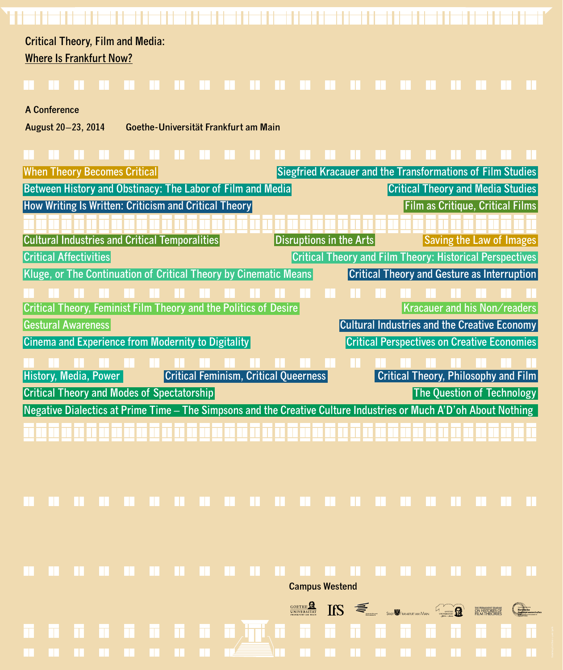| <b>When Theory Becomes Critical</b>                                                                               | Siegfried Kracauer and the Transformations of Film Studies      |
|-------------------------------------------------------------------------------------------------------------------|-----------------------------------------------------------------|
| <b>Between History and Obstinacy: The Labor of Film and Media</b>                                                 | <b>Critical Theory and Media Studies</b>                        |
| <b>How Writing Is Written: Criticism and Critical Theory</b>                                                      | <b>Film as Critique, Critical Films</b>                         |
|                                                                                                                   |                                                                 |
| Cultural Industries and Critical Temporalities                                                                    | Disruptions in the Arts<br><b>Saving the Law of Images</b>      |
| <b>Critical Affectivities</b>                                                                                     | <b>Critical Theory and Film Theory: Historical Perspectives</b> |
| Kluge, or The Continuation of Critical Theory by Cinematic Means                                                  | <b>Critical Theory and Gesture as Interruption</b>              |
|                                                                                                                   |                                                                 |
| Critical Theory, Feminist Film Theory and the Politics of Desire                                                  | Kracauer and his Non/readers                                    |
| <b>Gestural Awareness</b>                                                                                         | Cultural Industries and the Creative Economy                    |
| Cinema and Experience from Modernity to Digitality                                                                | <b>Critical Perspectives on Creative Economies</b>              |
|                                                                                                                   |                                                                 |
| <b>Critical Feminism, Critical Queerness</b><br>History, Media, Power                                             | <b>Critical Theory, Philosophy and Film</b>                     |
| <b>Critical Theory and Modes of Spectatorship</b>                                                                 | <b>The Question of Technology</b>                               |
| Negative Dialectics at Prime Time – The Simpsons and the Creative Culture Industries or Much A'D'oh About Nothing |                                                                 |
|                                                                                                                   |                                                                 |

**Critical Theory, Film and Media: Where Is Frankfurt Now?**

**A Conference**

**August 20–23, 2014 Goethe-Universität Frankfurt am Main**

**Campus Westend**